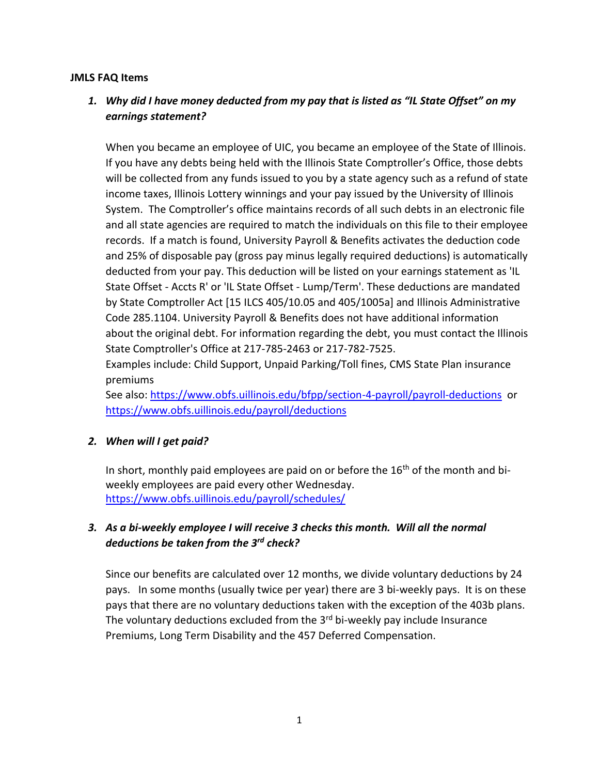#### **JMLS FAQ Items**

# *1. Why did I have money deducted from my pay that is listed as "IL State Offset" on my earnings statement?*

When you became an employee of UIC, you became an employee of the State of Illinois. If you have any debts being held with the Illinois State Comptroller's Office, those debts will be collected from any funds issued to you by a state agency such as a refund of state income taxes, Illinois Lottery winnings and your pay issued by the University of Illinois System. The Comptroller's office maintains records of all such debts in an electronic file and all state agencies are required to match the individuals on this file to their employee records. If a match is found, University Payroll & Benefits activates the deduction code and 25% of disposable pay (gross pay minus legally required deductions) is automatically deducted from your pay. This deduction will be listed on your earnings statement as 'IL State Offset - Accts R' or 'IL State Offset - Lump/Term'. These deductions are mandated by State Comptroller Act [15 ILCS 405/10.05 and 405/1005a] and Illinois Administrative Code 285.1104. University Payroll & Benefits does not have additional information about the original debt. For information regarding the debt, you must contact the Illinois State Comptroller's Office at 217-785-2463 or 217-782-7525.

Examples include: Child Support, Unpaid Parking/Toll fines, CMS State Plan insurance premiums

See also[: https://www.obfs.uillinois.edu/bfpp/section-4-payroll/payroll-deductions](https://www.obfs.uillinois.edu/bfpp/section-4-payroll/payroll-deductions) or <https://www.obfs.uillinois.edu/payroll/deductions>

## *2. When will I get paid?*

In short, monthly paid employees are paid on or before the  $16<sup>th</sup>$  of the month and biweekly employees are paid every other Wednesday. <https://www.obfs.uillinois.edu/payroll/schedules/>

# *3. As a bi-weekly employee I will receive 3 checks this month. Will all the normal deductions be taken from the 3rd check?*

Since our benefits are calculated over 12 months, we divide voluntary deductions by 24 pays. In some months (usually twice per year) there are 3 bi-weekly pays. It is on these pays that there are no voluntary deductions taken with the exception of the 403b plans. The voluntary deductions excluded from the  $3<sup>rd</sup>$  bi-weekly pay include Insurance Premiums, Long Term Disability and the 457 Deferred Compensation.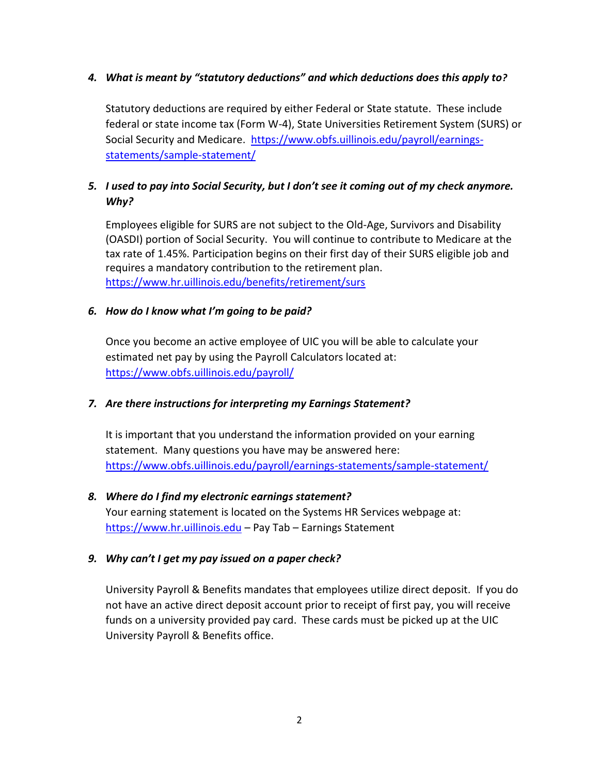## *4. What is meant by "statutory deductions" and which deductions does this apply to?*

Statutory deductions are required by either Federal or State statute. These include federal or state income tax (Form W-4), State Universities Retirement System (SURS) or Social Security and Medicare. [https://www.obfs.uillinois.edu/payroll/earnings](https://www.obfs.uillinois.edu/payroll/earnings-statements/sample-statement/)[statements/sample-statement/](https://www.obfs.uillinois.edu/payroll/earnings-statements/sample-statement/)

# *5. I used to pay into Social Security, but I don't see it coming out of my check anymore. Why?*

Employees eligible for SURS are not subject to the Old-Age, Survivors and Disability (OASDI) portion of Social Security. You will continue to contribute to Medicare at the tax rate of 1.45%. Participation begins on their first day of their SURS eligible job and requires a mandatory contribution to the retirement plan. <https://www.hr.uillinois.edu/benefits/retirement/surs>

## *6. How do I know what I'm going to be paid?*

Once you become an active employee of UIC you will be able to calculate your estimated net pay by using the Payroll Calculators located at: <https://www.obfs.uillinois.edu/payroll/>

## *7. Are there instructions for interpreting my Earnings Statement?*

It is important that you understand the information provided on your earning statement. Many questions you have may be answered here: <https://www.obfs.uillinois.edu/payroll/earnings-statements/sample-statement/>

## *8. Where do I find my electronic earnings statement?* Your earning statement is located on the Systems HR Services webpage at: [https://www.hr.uillinois.edu](https://www.hr.uillinois.edu/) – Pay Tab – Earnings Statement

## *9. Why can't I get my pay issued on a paper check?*

University Payroll & Benefits mandates that employees utilize direct deposit. If you do not have an active direct deposit account prior to receipt of first pay, you will receive funds on a university provided pay card. These cards must be picked up at the UIC University Payroll & Benefits office.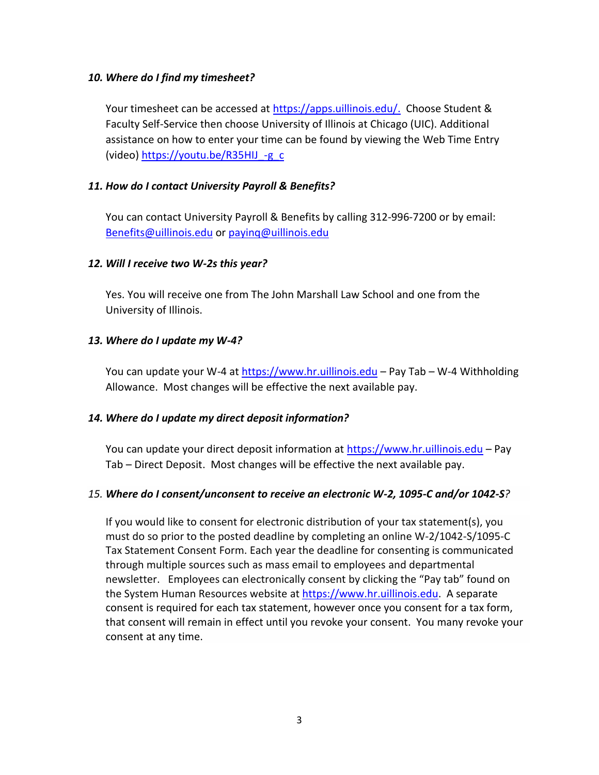#### *10. Where do I find my timesheet?*

Your timesheet can be accessed at [https://apps.uillinois.edu/.](https://apps.uillinois.edu/) Choose Student & Faculty Self-Service then choose University of Illinois at Chicago (UIC). Additional assistance on how to enter your time can be found by viewing the Web Time Entry (video) https://youtu.be/R35HIJ -g\_c

#### *11. How do I contact University Payroll & Benefits?*

You can contact University Payroll & Benefits by calling 312-996-7200 or by email: [Benefits@uillinois.edu](mailto:Benefits@uillinois.edu) or [payinq@uillinois.edu](mailto:payinq@uillinois.edu)

#### *12. Will I receive two W-2s this year?*

Yes. You will receive one from The John Marshall Law School and one from the University of Illinois.

#### *13. Where do I update my W-4?*

You can update your W-4 at [https://www.hr.uillinois.edu](https://www.hr.uillinois.edu/) – Pay Tab – W-4 Withholding Allowance. Most changes will be effective the next available pay.

#### *14. Where do I update my direct deposit information?*

You can update your direct deposit information at [https://www.hr.uillinois.edu](https://www.hr.uillinois.edu/) – Pay Tab – Direct Deposit. Most changes will be effective the next available pay.

#### *15. Where do I consent/unconsent to receive an electronic W-2, 1095-C and/or 1042-S?*

If you would like to consent for electronic distribution of your tax statement(s), you must do so prior to the posted deadline by completing an online W-2/1042-S/1095-C Tax Statement Consent Form. Each year the deadline for consenting is communicated through multiple sources such as mass email to employees and departmental newsletter. Employees can electronically consent by clicking the "Pay tab" found on the System Human Resources website at [https://www.hr.uillinois.edu.](https://www.hr.uillinois.edu/) A separate consent is required for each tax statement, however once you consent for a tax form, that consent will remain in effect until you revoke your consent. You many revoke your consent at any time.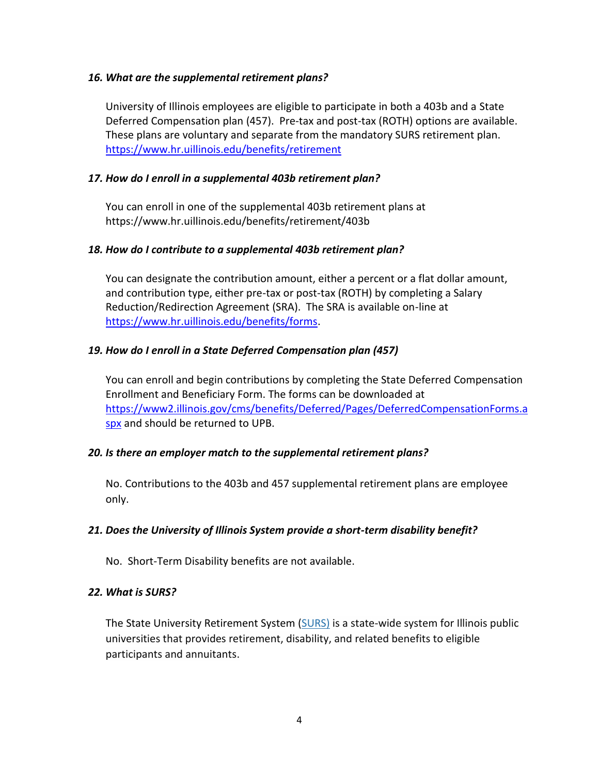#### *16. What are the supplemental retirement plans?*

University of Illinois employees are eligible to participate in both a 403b and a State Deferred Compensation plan (457). Pre-tax and post-tax (ROTH) options are available. These plans are voluntary and separate from the mandatory SURS retirement plan. <https://www.hr.uillinois.edu/benefits/retirement>

#### *17. How do I enroll in a supplemental 403b retirement plan?*

You can enroll in one of the supplemental 403b retirement plans at https://www.hr.uillinois.edu/benefits/retirement/403b

#### *18. How do I contribute to a supplemental 403b retirement plan?*

You can designate the contribution amount, either a percent or a flat dollar amount, and contribution type, either pre-tax or post-tax (ROTH) by completing a Salary Reduction/Redirection Agreement (SRA). The SRA is available on-line at [https://www.hr.uillinois.edu/benefits/forms.](https://www.hr.uillinois.edu/benefits/forms)

## *19. How do I enroll in a State Deferred Compensation plan (457)*

You can enroll and begin contributions by completing the State Deferred Compensation Enrollment and Beneficiary Form. The forms can be downloaded at [https://www2.illinois.gov/cms/benefits/Deferred/Pages/DeferredCompensationForms.a](https://www2.illinois.gov/cms/benefits/Deferred/Pages/DeferredCompensationForms.aspx) [spx](https://www2.illinois.gov/cms/benefits/Deferred/Pages/DeferredCompensationForms.aspx) and should be returned to UPB.

#### *20. Is there an employer match to the supplemental retirement plans?*

No. Contributions to the 403b and 457 supplemental retirement plans are employee only.

#### *21. Does the University of Illinois System provide a short-term disability benefit?*

No. Short-Term Disability benefits are not available.

#### *22. What is SURS?*

The State University Retirement System [\(SURS\)](https://www.hr.uillinois.edu/benefits/retirement/surs) is a state-wide system for Illinois public universities that provides retirement, disability, and related benefits to eligible participants and annuitants.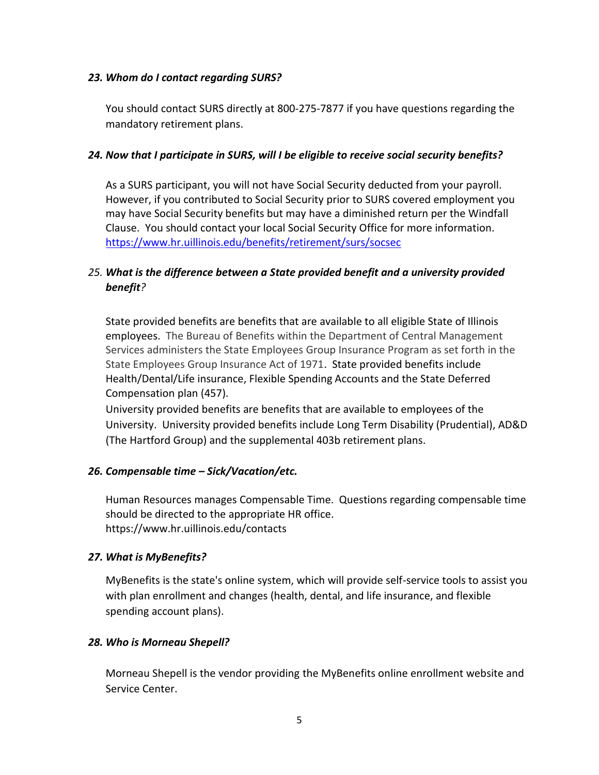#### *23. Whom do I contact regarding SURS?*

You should contact SURS directly at 800-275-7877 if you have questions regarding the mandatory retirement plans.

#### *24. Now that I participate in SURS, will I be eligible to receive social security benefits?*

As a SURS participant, you will not have Social Security deducted from your payroll. However, if you contributed to Social Security prior to SURS covered employment you may have Social Security benefits but may have a diminished return per the Windfall Clause. You should contact your local Social Security Office for more information. <https://www.hr.uillinois.edu/benefits/retirement/surs/socsec>

# *25. What is the difference between a State provided benefit and a university provided benefit?*

State provided benefits are benefits that are available to all eligible State of Illinois employees. The Bureau of Benefits within the Department of Central Management Services administers the State Employees Group Insurance Program as set forth in the State Employees Group Insurance Act of 1971. State provided benefits include Health/Dental/Life insurance, Flexible Spending Accounts and the State Deferred Compensation plan (457).

University provided benefits are benefits that are available to employees of the University. University provided benefits include Long Term Disability (Prudential), AD&D (The Hartford Group) and the supplemental 403b retirement plans.

## *26. Compensable time – Sick/Vacation/etc.*

Human Resources manages Compensable Time. Questions regarding compensable time should be directed to the appropriate HR office. https://www.hr.uillinois.edu/contacts

## *27. What is MyBenefits?*

MyBenefits is the state's online system, which will provide self-service tools to assist you with plan enrollment and changes (health, dental, and life insurance, and flexible spending account plans).

## *28. Who is Morneau Shepell?*

Morneau Shepell is the vendor providing the MyBenefits online enrollment website and Service Center.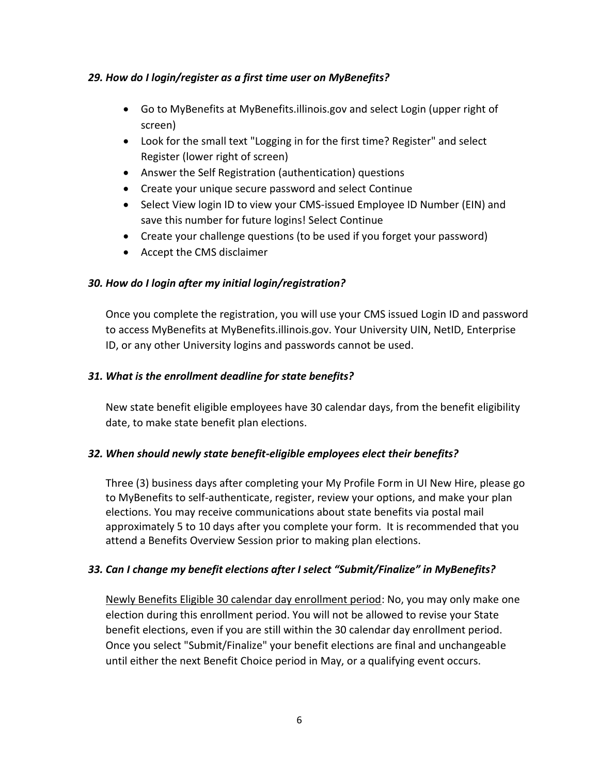## *29. How do I login/register as a first time user on MyBenefits?*

- Go to MyBenefits at [MyBenefits.illinois.gov](https://mybenefits.illinois.gov/) and select Login (upper right of screen)
- Look for the small text "Logging in for the first time? Register" and select Register (lower right of screen)
- Answer the Self Registration (authentication) questions
- Create your unique secure password and select Continue
- Select View login ID to view your CMS-issued Employee ID Number (EIN) and save this number for future logins! Select Continue
- Create your challenge questions (to be used if you forget your password)
- Accept the CMS disclaimer

## *30. How do I login after my initial login/registration?*

Once you complete the registration, you will use your CMS issued Login ID and password to access MyBenefits at [MyBenefits.illinois.gov.](https://mybenefits.illinois.gov/) Your University UIN, NetID, Enterprise ID, or any other University logins and passwords cannot be used.

## *31. What is the enrollment deadline for state benefits?*

New state benefit eligible employees have 30 calendar days, from the benefit eligibility date, to make state benefit plan elections.

## *32. When should newly state benefit-eligible employees elect their benefits?*

Three (3) business days after completing your My Profile Form in UI New Hire, please go to [MyBenefits](https://mybenefits.illinois.gov/) to self-authenticate, register, review your options, and make your plan elections. You may receive communications about state benefits via postal mail approximately 5 to 10 days after you complete your form. It is recommended that you attend a Benefits Overview Session prior to making plan elections.

## *33. Can I change my benefit elections after I select "Submit/Finalize" in MyBenefits?*

Newly Benefits Eligible 30 calendar day enrollment period: No, you may only make one election during this enrollment period. You will not be allowed to revise your State benefit elections, even if you are still within the 30 calendar day enrollment period. Once you select "Submit/Finalize" your benefit elections are final and unchangeable until either the next Benefit Choice period in May, or a qualifying event occurs.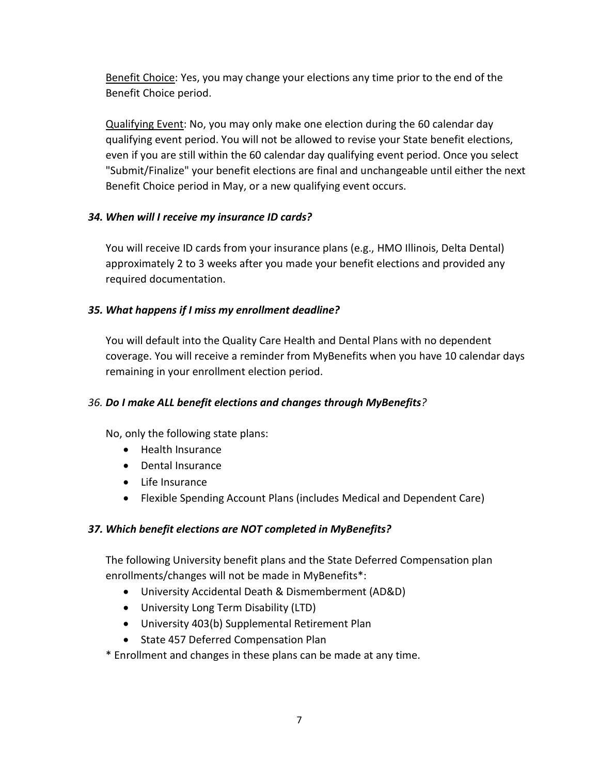Benefit Choice: Yes, you may change your elections any time prior to the end of the Benefit Choice period.

Qualifying Event: No, you may only make one election during the 60 calendar day qualifying event period. You will not be allowed to revise your State benefit elections, even if you are still within the 60 calendar day qualifying event period. Once you select "Submit/Finalize" your benefit elections are final and unchangeable until either the next Benefit Choice period in May, or a new qualifying event occurs.

## *34. When will I receive my insurance ID cards?*

You will receive ID cards from your insurance plans (e.g., HMO Illinois, Delta Dental) approximately 2 to 3 weeks after you made your benefit elections and provided any required documentation.

## *35. What happens if I miss my enrollment deadline?*

You will default into the Quality Care Health and Dental Plans with no dependent coverage. You will receive a reminder from MyBenefits when you have 10 calendar days remaining in your enrollment election period.

## *36. Do I make ALL benefit elections and changes through MyBenefits?*

No, only the following state plans:

- Health Insurance
- Dental Insurance
- Life Insurance
- Flexible Spending Account Plans (includes Medical and Dependent Care)

## *37. Which benefit elections are NOT completed in MyBenefits?*

The following University benefit plans and the State Deferred Compensation plan enrollments/changes will not be made in MyBenefits\*:

- University Accidental Death & Dismemberment (AD&D)
- University Long Term Disability (LTD)
- University 403(b) Supplemental Retirement Plan
- State 457 Deferred Compensation Plan

\* Enrollment and changes in these plans can be made at any time.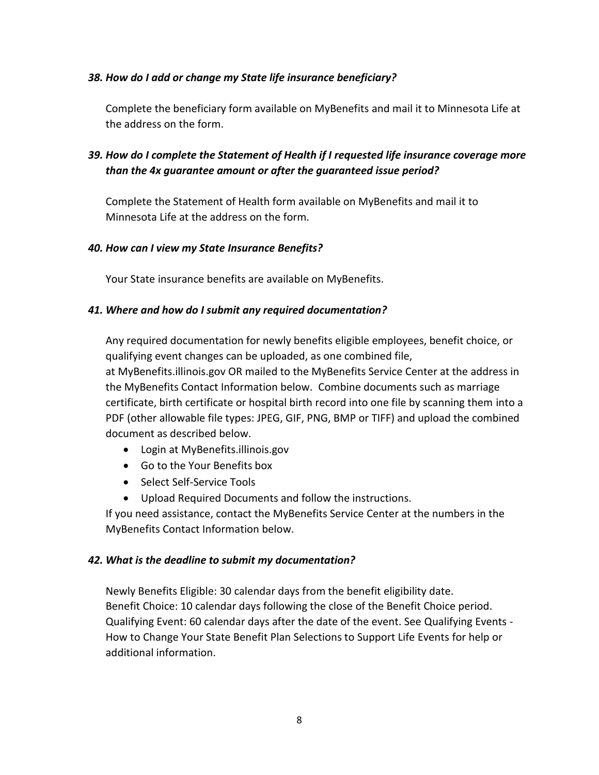#### *38. How do I add or change my State life insurance beneficiary?*

Complete the beneficiary form available on MyBenefits and mail it to Minnesota Life at the address on the form.

# *39. How do I complete the Statement of Health if I requested life insurance coverage more than the 4x guarantee amount or after the guaranteed issue period?*

Complete the Statement of Health form available on MyBenefits and mail it to Minnesota Life at the address on the form.

#### *40. How can I view my State Insurance Benefits?*

Your State insurance benefits are available o[n MyBenefits.](https://mybenefits.illinois.gov/)

#### *41. Where and how do I submit any required documentation?*

Any required documentation for newly benefits eligible employees, benefit choice, or qualifying event changes can be uploaded, as one combined file, at [MyBenefits.illinois.gov](http://mybenefits.illinois.gov/) OR mailed to the MyBenefits Service Center at the address in the MyBenefits Contact Information below. Combine documents such as marriage certificate, birth certificate or hospital birth record into one file by scanning them into a PDF (other allowable file types: JPEG, GIF, PNG, BMP or TIFF) and upload the combined document as described below.

- Login at [MyBenefits.illinois.gov](http://mybenefits.illinois.gov/)
- Go to the Your Benefits box
- Select Self-Service Tools
- Upload Required Documents and follow the instructions.

If you need assistance, contact the MyBenefits Service Center at the numbers in the MyBenefits Contact Information below.

## *42. What is the deadline to submit my documentation?*

Newly Benefits Eligible: 30 calendar days from the benefit eligibility date. Benefit Choice: 10 calendar days following the close of the Benefit Choice period. Qualifying Event: 60 calendar days after the date of the event. See [Qualifying Events -](https://www.obfs.uillinois.edu/common/pages/DisplayFile.aspx?itemId=773920) [How to Change Your State Benefit Plan Selections to Support Life Events](https://www.obfs.uillinois.edu/common/pages/DisplayFile.aspx?itemId=773920) for help or additional information.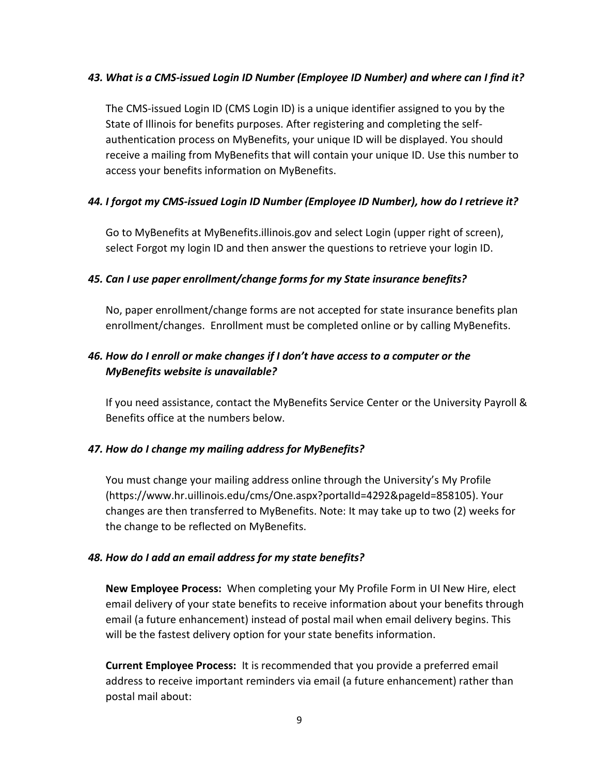#### *43. What is a CMS-issued Login ID Number (Employee ID Number) and where can I find it?*

The CMS-issued Login ID (CMS Login ID) is a unique identifier assigned to you by the State of Illinois for benefits purposes. After registering and completing the selfauthentication process on MyBenefits, your unique ID will be displayed. You should receive a mailing from MyBenefits that will contain your unique ID. Use this number to access your benefits information on MyBenefits.

#### *44. I forgot my CMS-issued Login ID Number (Employee ID Number), how do I retrieve it?*

Go to MyBenefits at [MyBenefits.illinois.gov](https://mybenefits.illinois.gov/) and select Login (upper right of screen), select Forgot my login ID and then answer the questions to retrieve your login ID.

#### *45. Can I use paper enrollment/change forms for my State insurance benefits?*

No, paper enrollment/change forms are not accepted for state insurance benefits plan enrollment/changes. Enrollment must be completed online or by calling MyBenefits.

## *46. How do I enroll or make changes if I don't have access to a computer or the MyBenefits website is unavailable?*

If you need assistance, contact the MyBenefits Service Center or the University Payroll & Benefits office at the numbers below.

#### *47. How do I change my mailing address for MyBenefits?*

You must change your mailing address online through the University's [My Profile](https://go.uillinois.edu/myprofile) (https://www.hr.uillinois.edu/cms/One.aspx?portalId=4292&pageId=858105). Your changes are then transferred to MyBenefits. Note: It may take up to two (2) weeks for the change to be reflected on MyBenefits.

#### *48. How do I add an email address for my state benefits?*

**New Employee Process:** When completing your My Profile Form in UI New Hire, elect email delivery of your state benefits to receive information about your benefits through email (a future enhancement) instead of postal mail when email delivery begins. This will be the fastest delivery option for your state benefits information.

**Current Employee Process:** It is recommended that you provide a preferred email address to receive important reminders via email (a future enhancement) rather than postal mail about: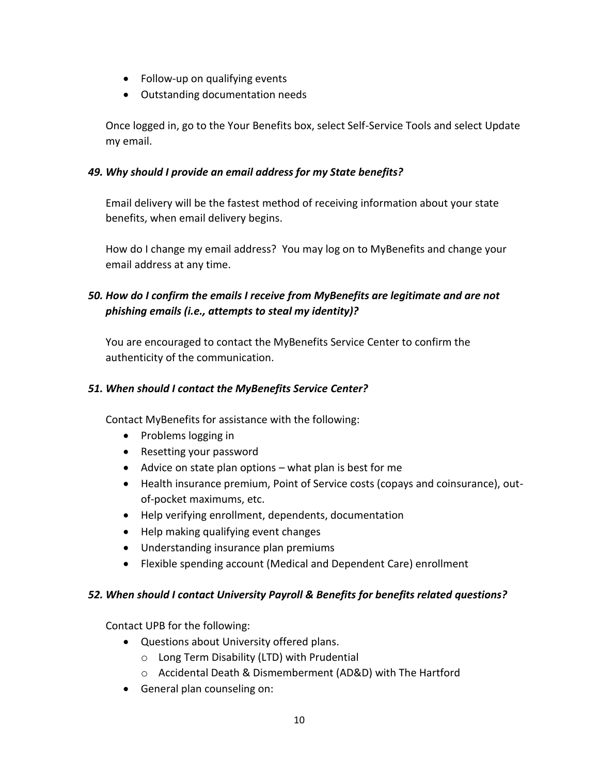- Follow-up on qualifying events
- Outstanding documentation needs

Once logged in, go to the Your Benefits box, select Self-Service Tools and select Update my email.

## *49. Why should I provide an email address for my State benefits?*

Email delivery will be the fastest method of receiving information about your state benefits, when email delivery begins.

How do I change my email address? You may log on to MyBenefits and change your email address at any time.

# *50. How do I confirm the emails I receive from MyBenefits are legitimate and are not phishing emails (i.e., attempts to steal my identity)?*

You are encouraged to contact the MyBenefits Service Center to confirm the authenticity of the communication.

# *51. When should I contact the MyBenefits Service Center?*

Contact MyBenefits for assistance with the following:

- Problems logging in
- Resetting your password
- $\bullet$  Advice on state plan options what plan is best for me
- Health insurance premium, Point of Service costs (copays and coinsurance), outof-pocket maximums, etc.
- Help verifying enrollment, dependents, documentation
- Help making qualifying event changes
- Understanding insurance plan premiums
- Flexible spending account (Medical and Dependent Care) enrollment

## *52. When should I contact University Payroll & Benefits for benefits related questions?*

Contact UPB for the following:

- Questions about University offered plans.
	- o Long Term Disability (LTD) with Prudential
	- o Accidental Death & Dismemberment (AD&D) with The Hartford
- General plan counseling on: